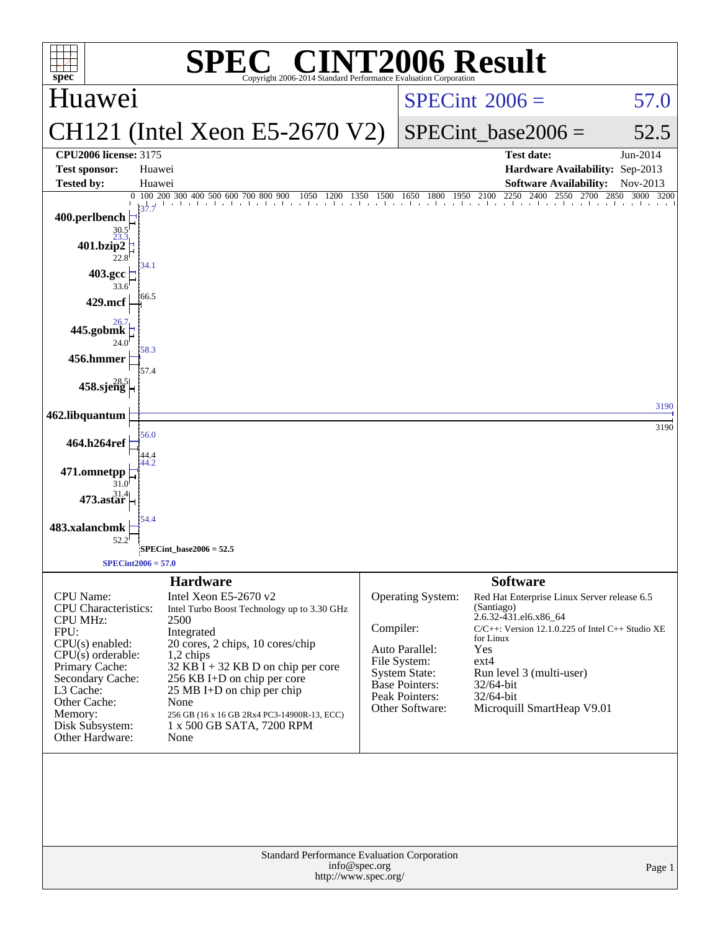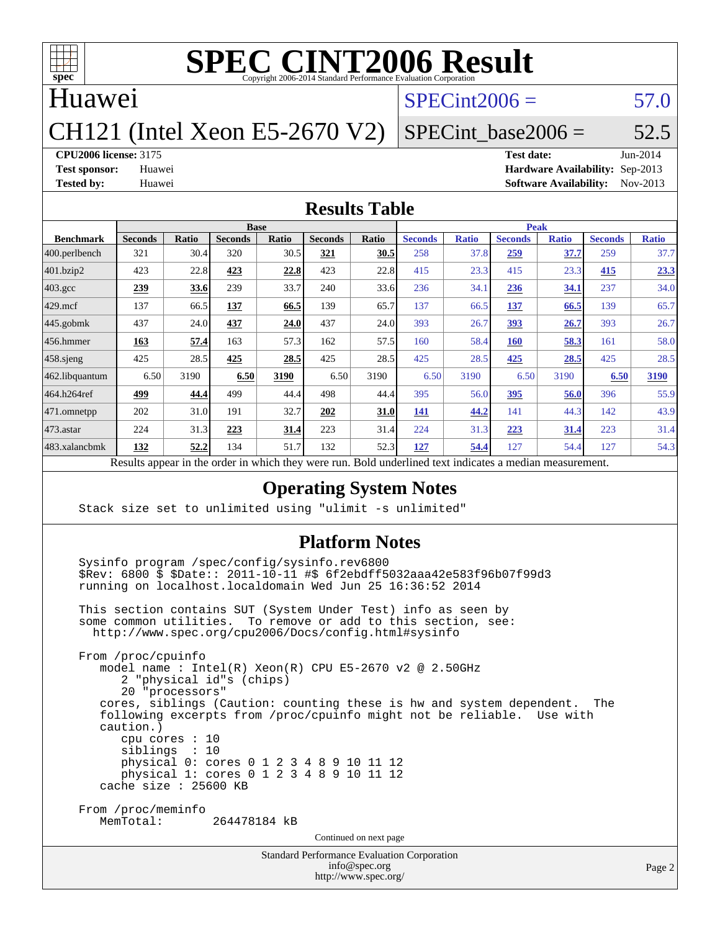

#### Huawei

# CH121 (Intel Xeon E5-2670 V2)

 $SPECint2006 = 57.0$  $SPECint2006 = 57.0$ 

**[CPU2006 license:](http://www.spec.org/auto/cpu2006/Docs/result-fields.html#CPU2006license)** 3175 **[Test date:](http://www.spec.org/auto/cpu2006/Docs/result-fields.html#Testdate)** Jun-2014 **[Test sponsor:](http://www.spec.org/auto/cpu2006/Docs/result-fields.html#Testsponsor)** Huawei **[Hardware Availability:](http://www.spec.org/auto/cpu2006/Docs/result-fields.html#HardwareAvailability)** Sep-2013 **[Tested by:](http://www.spec.org/auto/cpu2006/Docs/result-fields.html#Testedby)** Huawei **[Software Availability:](http://www.spec.org/auto/cpu2006/Docs/result-fields.html#SoftwareAvailability)** Nov-2013

SPECint base2006 =  $52.5$ 

#### **[Results Table](http://www.spec.org/auto/cpu2006/Docs/result-fields.html#ResultsTable)**

| <b>Base</b>    |              |                |              |                |       | <b>Peak</b>    |              |                |              |                |              |
|----------------|--------------|----------------|--------------|----------------|-------|----------------|--------------|----------------|--------------|----------------|--------------|
| <b>Seconds</b> | <b>Ratio</b> | <b>Seconds</b> | <b>Ratio</b> | <b>Seconds</b> | Ratio | <b>Seconds</b> | <b>Ratio</b> | <b>Seconds</b> | <b>Ratio</b> | <b>Seconds</b> | <b>Ratio</b> |
| 321            | 30.4         | 320            | 30.5         | 321            | 30.5  | 258            | 37.8         | 259            | 37.7         | 259            | 37.7         |
| 423            | 22.8         | 423            | 22.8         | 423            | 22.8  | 415            | 23.3         | 415            | 23.3         | 415            | 23.3         |
| <u>239</u>     | 33.6         | 239            | 33.7         | 240            | 33.6  | 236            | 34.1         | 236            | 34.1         | 237            | 34.0         |
| 137            | 66.5         | 137            | 66.5         | 139            | 65.7  | 137            | 66.5         | 137            | 66.5         | 139            | 65.7         |
| 437            | 24.0         | 437            | 24.0         | 437            | 24.0  | 393            | 26.7         | <u>393</u>     | 26.7         | 393            | 26.7         |
| 163            | 57.4         | 163            | 57.3         | 162            | 57.5  | 160            | 58.4         | <b>160</b>     | 58.3         | 161            | 58.0         |
| 425            | 28.5         | 425            | 28.5         | 425            | 28.5  | 425            | 28.5         | 425            | 28.5         | 425            | 28.5         |
| 6.50           | 3190         | 6.50           | 3190         | 6.50           | 3190  | 6.50           | 3190         | 6.50           | 3190         | 6.50           | 3190         |
| 499            | 44.4         | 499            | 44.4         | 498            | 44.4  | 395            | 56.0         | 395            | 56.0         | 396            | 55.9         |
| 202            | 31.0         | 191            | 32.7         | 202            | 31.0  | 141            | 44.2         | 141            | 44.3         | 142            | 43.9         |
| 224            | 31.3         | 223            | 31.4         | 223            | 31.4  | 224            | 31.3         | 223            | <u>31.4</u>  | 223            | 31.4         |
| 132            | 52.2         | 134            | 51.7         | 132            | 52.3  | 127            | 54.4         | 127            | 54.4         | 127            | 54.3         |
|                |              |                |              |                |       |                |              |                |              |                |              |

Results appear in the [order in which they were run.](http://www.spec.org/auto/cpu2006/Docs/result-fields.html#RunOrder) Bold underlined text [indicates a median measurement.](http://www.spec.org/auto/cpu2006/Docs/result-fields.html#Median)

#### **[Operating System Notes](http://www.spec.org/auto/cpu2006/Docs/result-fields.html#OperatingSystemNotes)**

Stack size set to unlimited using "ulimit -s unlimited"

#### **[Platform Notes](http://www.spec.org/auto/cpu2006/Docs/result-fields.html#PlatformNotes)**

 Sysinfo program /spec/config/sysinfo.rev6800 \$Rev: 6800 \$ \$Date:: 2011-10-11 #\$ 6f2ebdff5032aaa42e583f96b07f99d3 running on localhost.localdomain Wed Jun 25 16:36:52 2014 This section contains SUT (System Under Test) info as seen by some common utilities. To remove or add to this section, see: <http://www.spec.org/cpu2006/Docs/config.html#sysinfo> From /proc/cpuinfo model name : Intel(R) Xeon(R) CPU E5-2670 v2 @ 2.50GHz 2 "physical id"s (chips) 20 "processors" cores, siblings (Caution: counting these is hw and system dependent. The following excerpts from /proc/cpuinfo might not be reliable. Use with caution.) cpu cores : 10 siblings : 10 physical 0: cores 0 1 2 3 4 8 9 10 11 12 physical 1: cores 0 1 2 3 4 8 9 10 11 12 cache size : 25600 KB From /proc/meminfo MemTotal: 264478184 kB Continued on next page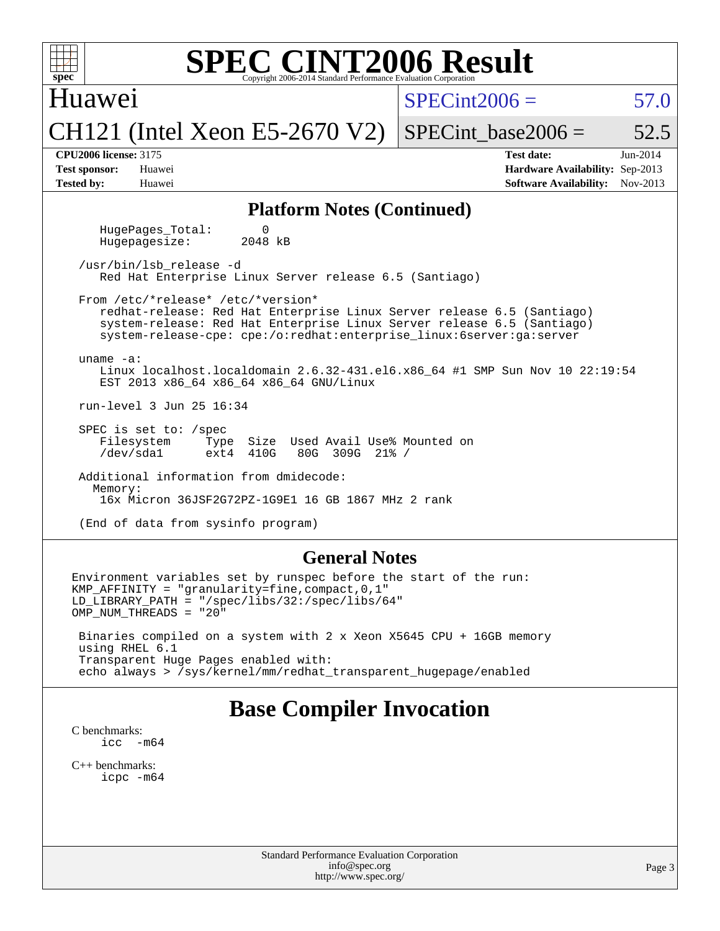| <b>SPEC CINT2006 Result</b><br>$spec^*$<br>Copyright 2006-2014 Standard Performance Evaluation Corporation                                                                                                                                                     |                                                                                                                 |  |  |  |  |  |  |  |
|----------------------------------------------------------------------------------------------------------------------------------------------------------------------------------------------------------------------------------------------------------------|-----------------------------------------------------------------------------------------------------------------|--|--|--|--|--|--|--|
| Huawei                                                                                                                                                                                                                                                         | $SPECint2006 =$<br>57.0                                                                                         |  |  |  |  |  |  |  |
| $CH121$ (Intel Xeon E5-2670 V2)                                                                                                                                                                                                                                | SPECint base2006 $=$<br>52.5                                                                                    |  |  |  |  |  |  |  |
| <b>CPU2006 license: 3175</b><br>Huawei<br><b>Test sponsor:</b><br><b>Tested by:</b><br>Huawei                                                                                                                                                                  | <b>Test date:</b><br>$Jun-2014$<br>Hardware Availability: Sep-2013<br><b>Software Availability:</b><br>Nov-2013 |  |  |  |  |  |  |  |
| <b>Platform Notes (Continued)</b>                                                                                                                                                                                                                              |                                                                                                                 |  |  |  |  |  |  |  |
| HugePages_Total:<br>0<br>2048 kB<br>Hugepagesize:                                                                                                                                                                                                              |                                                                                                                 |  |  |  |  |  |  |  |
| /usr/bin/lsb release -d<br>Red Hat Enterprise Linux Server release 6.5 (Santiago)                                                                                                                                                                              |                                                                                                                 |  |  |  |  |  |  |  |
| From /etc/*release* /etc/*version*<br>redhat-release: Red Hat Enterprise Linux Server release 6.5 (Santiago)<br>system-release: Red Hat Enterprise Linux Server release 6.5 (Santiago)<br>system-release-cpe: cpe:/o:redhat:enterprise_linux:6server:ga:server |                                                                                                                 |  |  |  |  |  |  |  |
| uname $-a$ :<br>Linux localhost.localdomain 2.6.32-431.el6.x86_64 #1 SMP Sun Nov 10 22:19:54<br>EST 2013 x86_64 x86_64 x86_64 GNU/Linux                                                                                                                        |                                                                                                                 |  |  |  |  |  |  |  |
| run-level 3 Jun 25 16:34                                                                                                                                                                                                                                       |                                                                                                                 |  |  |  |  |  |  |  |
| SPEC is set to: /spec<br>Type Size Used Avail Use% Mounted on<br>Filesystem<br>/dev/sda1<br>ext4 410G<br>80G 309G 21% /                                                                                                                                        |                                                                                                                 |  |  |  |  |  |  |  |
| Additional information from dmidecode:<br>Memory:<br>16x Micron 36JSF2G72PZ-1G9E1 16 GB 1867 MHz 2 rank                                                                                                                                                        |                                                                                                                 |  |  |  |  |  |  |  |
| (End of data from sysinfo program)                                                                                                                                                                                                                             |                                                                                                                 |  |  |  |  |  |  |  |
| <b>General Notes</b><br>Environment variables set by runspec before the start of the run:<br>$KMP_A$ FFINITY = "granularity=fine, compact, 0, 1"                                                                                                               |                                                                                                                 |  |  |  |  |  |  |  |

 Binaries compiled on a system with 2 x Xeon X5645 CPU + 16GB memory using RHEL 6.1 Transparent Huge Pages enabled with: echo always > /sys/kernel/mm/redhat\_transparent\_hugepage/enabled

LD\_LIBRARY\_PATH = "/spec/libs/32:/spec/libs/64"

## **[Base Compiler Invocation](http://www.spec.org/auto/cpu2006/Docs/result-fields.html#BaseCompilerInvocation)**

[C benchmarks](http://www.spec.org/auto/cpu2006/Docs/result-fields.html#Cbenchmarks): [icc -m64](http://www.spec.org/cpu2006/results/res2014q3/cpu2006-20140626-30035.flags.html#user_CCbase_intel_icc_64bit_f346026e86af2a669e726fe758c88044)

 $OMP_MUM_THREADS = "20"$ 

[C++ benchmarks:](http://www.spec.org/auto/cpu2006/Docs/result-fields.html#CXXbenchmarks) [icpc -m64](http://www.spec.org/cpu2006/results/res2014q3/cpu2006-20140626-30035.flags.html#user_CXXbase_intel_icpc_64bit_fc66a5337ce925472a5c54ad6a0de310)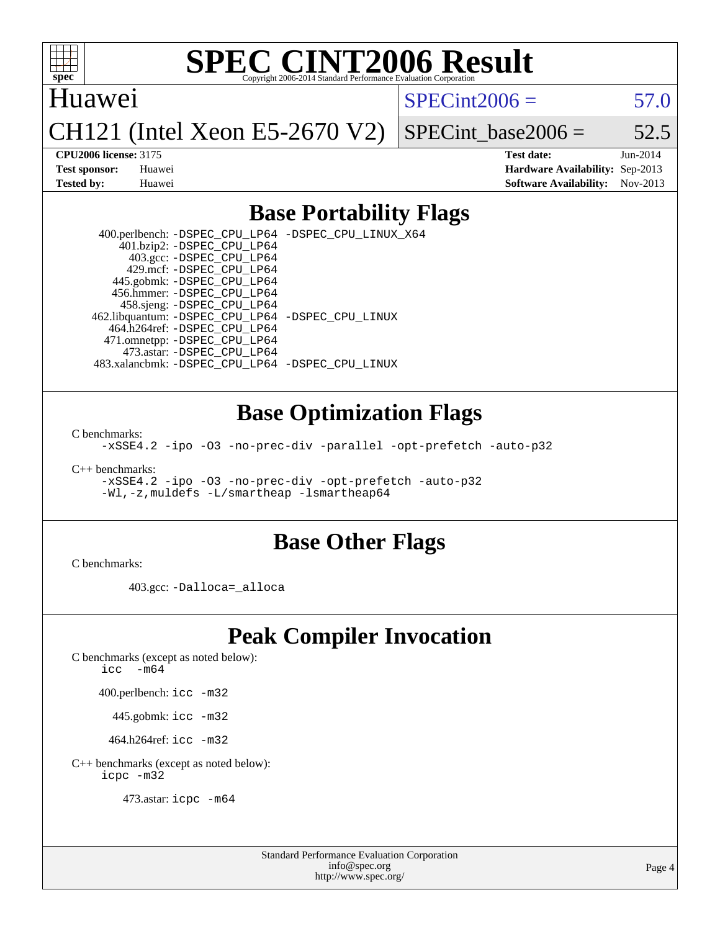

Huawei

 $SPECint2006 = 57.0$  $SPECint2006 = 57.0$ 

CH121 (Intel Xeon E5-2670 V2)

SPECint base2006 =  $52.5$ 

**[CPU2006 license:](http://www.spec.org/auto/cpu2006/Docs/result-fields.html#CPU2006license)** 3175 **[Test date:](http://www.spec.org/auto/cpu2006/Docs/result-fields.html#Testdate)** Jun-2014 **[Test sponsor:](http://www.spec.org/auto/cpu2006/Docs/result-fields.html#Testsponsor)** Huawei **[Hardware Availability:](http://www.spec.org/auto/cpu2006/Docs/result-fields.html#HardwareAvailability)** Sep-2013 **[Tested by:](http://www.spec.org/auto/cpu2006/Docs/result-fields.html#Testedby)** Huawei **[Software Availability:](http://www.spec.org/auto/cpu2006/Docs/result-fields.html#SoftwareAvailability)** Nov-2013

### **[Base Portability Flags](http://www.spec.org/auto/cpu2006/Docs/result-fields.html#BasePortabilityFlags)**

 400.perlbench: [-DSPEC\\_CPU\\_LP64](http://www.spec.org/cpu2006/results/res2014q3/cpu2006-20140626-30035.flags.html#b400.perlbench_basePORTABILITY_DSPEC_CPU_LP64) [-DSPEC\\_CPU\\_LINUX\\_X64](http://www.spec.org/cpu2006/results/res2014q3/cpu2006-20140626-30035.flags.html#b400.perlbench_baseCPORTABILITY_DSPEC_CPU_LINUX_X64) 401.bzip2: [-DSPEC\\_CPU\\_LP64](http://www.spec.org/cpu2006/results/res2014q3/cpu2006-20140626-30035.flags.html#suite_basePORTABILITY401_bzip2_DSPEC_CPU_LP64) 403.gcc: [-DSPEC\\_CPU\\_LP64](http://www.spec.org/cpu2006/results/res2014q3/cpu2006-20140626-30035.flags.html#suite_basePORTABILITY403_gcc_DSPEC_CPU_LP64) 429.mcf: [-DSPEC\\_CPU\\_LP64](http://www.spec.org/cpu2006/results/res2014q3/cpu2006-20140626-30035.flags.html#suite_basePORTABILITY429_mcf_DSPEC_CPU_LP64) 445.gobmk: [-DSPEC\\_CPU\\_LP64](http://www.spec.org/cpu2006/results/res2014q3/cpu2006-20140626-30035.flags.html#suite_basePORTABILITY445_gobmk_DSPEC_CPU_LP64) 456.hmmer: [-DSPEC\\_CPU\\_LP64](http://www.spec.org/cpu2006/results/res2014q3/cpu2006-20140626-30035.flags.html#suite_basePORTABILITY456_hmmer_DSPEC_CPU_LP64) 458.sjeng: [-DSPEC\\_CPU\\_LP64](http://www.spec.org/cpu2006/results/res2014q3/cpu2006-20140626-30035.flags.html#suite_basePORTABILITY458_sjeng_DSPEC_CPU_LP64) 462.libquantum: [-DSPEC\\_CPU\\_LP64](http://www.spec.org/cpu2006/results/res2014q3/cpu2006-20140626-30035.flags.html#suite_basePORTABILITY462_libquantum_DSPEC_CPU_LP64) [-DSPEC\\_CPU\\_LINUX](http://www.spec.org/cpu2006/results/res2014q3/cpu2006-20140626-30035.flags.html#b462.libquantum_baseCPORTABILITY_DSPEC_CPU_LINUX) 464.h264ref: [-DSPEC\\_CPU\\_LP64](http://www.spec.org/cpu2006/results/res2014q3/cpu2006-20140626-30035.flags.html#suite_basePORTABILITY464_h264ref_DSPEC_CPU_LP64) 471.omnetpp: [-DSPEC\\_CPU\\_LP64](http://www.spec.org/cpu2006/results/res2014q3/cpu2006-20140626-30035.flags.html#suite_basePORTABILITY471_omnetpp_DSPEC_CPU_LP64) 473.astar: [-DSPEC\\_CPU\\_LP64](http://www.spec.org/cpu2006/results/res2014q3/cpu2006-20140626-30035.flags.html#suite_basePORTABILITY473_astar_DSPEC_CPU_LP64) 483.xalancbmk: [-DSPEC\\_CPU\\_LP64](http://www.spec.org/cpu2006/results/res2014q3/cpu2006-20140626-30035.flags.html#suite_basePORTABILITY483_xalancbmk_DSPEC_CPU_LP64) [-DSPEC\\_CPU\\_LINUX](http://www.spec.org/cpu2006/results/res2014q3/cpu2006-20140626-30035.flags.html#b483.xalancbmk_baseCXXPORTABILITY_DSPEC_CPU_LINUX)

### **[Base Optimization Flags](http://www.spec.org/auto/cpu2006/Docs/result-fields.html#BaseOptimizationFlags)**

[C benchmarks](http://www.spec.org/auto/cpu2006/Docs/result-fields.html#Cbenchmarks):

[-xSSE4.2](http://www.spec.org/cpu2006/results/res2014q3/cpu2006-20140626-30035.flags.html#user_CCbase_f-xSSE42_f91528193cf0b216347adb8b939d4107) [-ipo](http://www.spec.org/cpu2006/results/res2014q3/cpu2006-20140626-30035.flags.html#user_CCbase_f-ipo) [-O3](http://www.spec.org/cpu2006/results/res2014q3/cpu2006-20140626-30035.flags.html#user_CCbase_f-O3) [-no-prec-div](http://www.spec.org/cpu2006/results/res2014q3/cpu2006-20140626-30035.flags.html#user_CCbase_f-no-prec-div) [-parallel](http://www.spec.org/cpu2006/results/res2014q3/cpu2006-20140626-30035.flags.html#user_CCbase_f-parallel) [-opt-prefetch](http://www.spec.org/cpu2006/results/res2014q3/cpu2006-20140626-30035.flags.html#user_CCbase_f-opt-prefetch) [-auto-p32](http://www.spec.org/cpu2006/results/res2014q3/cpu2006-20140626-30035.flags.html#user_CCbase_f-auto-p32)

[C++ benchmarks:](http://www.spec.org/auto/cpu2006/Docs/result-fields.html#CXXbenchmarks)

[-xSSE4.2](http://www.spec.org/cpu2006/results/res2014q3/cpu2006-20140626-30035.flags.html#user_CXXbase_f-xSSE42_f91528193cf0b216347adb8b939d4107) [-ipo](http://www.spec.org/cpu2006/results/res2014q3/cpu2006-20140626-30035.flags.html#user_CXXbase_f-ipo) [-O3](http://www.spec.org/cpu2006/results/res2014q3/cpu2006-20140626-30035.flags.html#user_CXXbase_f-O3) [-no-prec-div](http://www.spec.org/cpu2006/results/res2014q3/cpu2006-20140626-30035.flags.html#user_CXXbase_f-no-prec-div) [-opt-prefetch](http://www.spec.org/cpu2006/results/res2014q3/cpu2006-20140626-30035.flags.html#user_CXXbase_f-opt-prefetch) [-auto-p32](http://www.spec.org/cpu2006/results/res2014q3/cpu2006-20140626-30035.flags.html#user_CXXbase_f-auto-p32) [-Wl,-z,muldefs](http://www.spec.org/cpu2006/results/res2014q3/cpu2006-20140626-30035.flags.html#user_CXXbase_link_force_multiple1_74079c344b956b9658436fd1b6dd3a8a) [-L/smartheap -lsmartheap64](http://www.spec.org/cpu2006/results/res2014q3/cpu2006-20140626-30035.flags.html#user_CXXbase_SmartHeap64_5e654037dadeae1fe403ab4b4466e60b)

#### **[Base Other Flags](http://www.spec.org/auto/cpu2006/Docs/result-fields.html#BaseOtherFlags)**

[C benchmarks](http://www.spec.org/auto/cpu2006/Docs/result-fields.html#Cbenchmarks):

403.gcc: [-Dalloca=\\_alloca](http://www.spec.org/cpu2006/results/res2014q3/cpu2006-20140626-30035.flags.html#b403.gcc_baseEXTRA_CFLAGS_Dalloca_be3056838c12de2578596ca5467af7f3)

## **[Peak Compiler Invocation](http://www.spec.org/auto/cpu2006/Docs/result-fields.html#PeakCompilerInvocation)**

[C benchmarks \(except as noted below\)](http://www.spec.org/auto/cpu2006/Docs/result-fields.html#Cbenchmarksexceptasnotedbelow):

icc  $-m64$ 

400.perlbench: [icc -m32](http://www.spec.org/cpu2006/results/res2014q3/cpu2006-20140626-30035.flags.html#user_peakCCLD400_perlbench_intel_icc_a6a621f8d50482236b970c6ac5f55f93)

445.gobmk: [icc -m32](http://www.spec.org/cpu2006/results/res2014q3/cpu2006-20140626-30035.flags.html#user_peakCCLD445_gobmk_intel_icc_a6a621f8d50482236b970c6ac5f55f93)

464.h264ref: [icc -m32](http://www.spec.org/cpu2006/results/res2014q3/cpu2006-20140626-30035.flags.html#user_peakCCLD464_h264ref_intel_icc_a6a621f8d50482236b970c6ac5f55f93)

[C++ benchmarks \(except as noted below\):](http://www.spec.org/auto/cpu2006/Docs/result-fields.html#CXXbenchmarksexceptasnotedbelow) [icpc -m32](http://www.spec.org/cpu2006/results/res2014q3/cpu2006-20140626-30035.flags.html#user_CXXpeak_intel_icpc_4e5a5ef1a53fd332b3c49e69c3330699)

473.astar: [icpc -m64](http://www.spec.org/cpu2006/results/res2014q3/cpu2006-20140626-30035.flags.html#user_peakCXXLD473_astar_intel_icpc_64bit_fc66a5337ce925472a5c54ad6a0de310)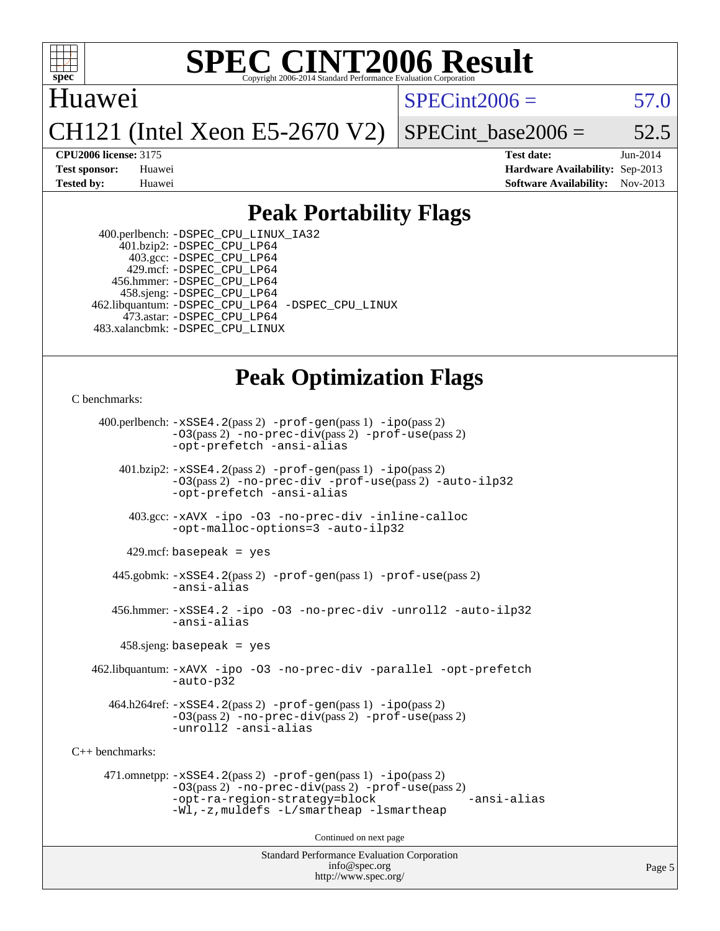

Huawei

 $SPECint2006 = 57.0$  $SPECint2006 = 57.0$ 

CH121 (Intel Xeon E5-2670 V2)

SPECint base2006 =  $52.5$ 

**[CPU2006 license:](http://www.spec.org/auto/cpu2006/Docs/result-fields.html#CPU2006license)** 3175 **[Test date:](http://www.spec.org/auto/cpu2006/Docs/result-fields.html#Testdate)** Jun-2014 **[Test sponsor:](http://www.spec.org/auto/cpu2006/Docs/result-fields.html#Testsponsor)** Huawei **[Hardware Availability:](http://www.spec.org/auto/cpu2006/Docs/result-fields.html#HardwareAvailability)** Sep-2013 **[Tested by:](http://www.spec.org/auto/cpu2006/Docs/result-fields.html#Testedby)** Huawei **[Software Availability:](http://www.spec.org/auto/cpu2006/Docs/result-fields.html#SoftwareAvailability)** Nov-2013

### **[Peak Portability Flags](http://www.spec.org/auto/cpu2006/Docs/result-fields.html#PeakPortabilityFlags)**

 400.perlbench: [-DSPEC\\_CPU\\_LINUX\\_IA32](http://www.spec.org/cpu2006/results/res2014q3/cpu2006-20140626-30035.flags.html#b400.perlbench_peakCPORTABILITY_DSPEC_CPU_LINUX_IA32) 401.bzip2: [-DSPEC\\_CPU\\_LP64](http://www.spec.org/cpu2006/results/res2014q3/cpu2006-20140626-30035.flags.html#suite_peakPORTABILITY401_bzip2_DSPEC_CPU_LP64) 403.gcc: [-DSPEC\\_CPU\\_LP64](http://www.spec.org/cpu2006/results/res2014q3/cpu2006-20140626-30035.flags.html#suite_peakPORTABILITY403_gcc_DSPEC_CPU_LP64) 429.mcf: [-DSPEC\\_CPU\\_LP64](http://www.spec.org/cpu2006/results/res2014q3/cpu2006-20140626-30035.flags.html#suite_peakPORTABILITY429_mcf_DSPEC_CPU_LP64) 456.hmmer: [-DSPEC\\_CPU\\_LP64](http://www.spec.org/cpu2006/results/res2014q3/cpu2006-20140626-30035.flags.html#suite_peakPORTABILITY456_hmmer_DSPEC_CPU_LP64) 458.sjeng: [-DSPEC\\_CPU\\_LP64](http://www.spec.org/cpu2006/results/res2014q3/cpu2006-20140626-30035.flags.html#suite_peakPORTABILITY458_sjeng_DSPEC_CPU_LP64) 462.libquantum: [-DSPEC\\_CPU\\_LP64](http://www.spec.org/cpu2006/results/res2014q3/cpu2006-20140626-30035.flags.html#suite_peakPORTABILITY462_libquantum_DSPEC_CPU_LP64) [-DSPEC\\_CPU\\_LINUX](http://www.spec.org/cpu2006/results/res2014q3/cpu2006-20140626-30035.flags.html#b462.libquantum_peakCPORTABILITY_DSPEC_CPU_LINUX) 473.astar: [-DSPEC\\_CPU\\_LP64](http://www.spec.org/cpu2006/results/res2014q3/cpu2006-20140626-30035.flags.html#suite_peakPORTABILITY473_astar_DSPEC_CPU_LP64) 483.xalancbmk: [-DSPEC\\_CPU\\_LINUX](http://www.spec.org/cpu2006/results/res2014q3/cpu2006-20140626-30035.flags.html#b483.xalancbmk_peakCXXPORTABILITY_DSPEC_CPU_LINUX)

## **[Peak Optimization Flags](http://www.spec.org/auto/cpu2006/Docs/result-fields.html#PeakOptimizationFlags)**

[C benchmarks](http://www.spec.org/auto/cpu2006/Docs/result-fields.html#Cbenchmarks):

 400.perlbench: [-xSSE4.2](http://www.spec.org/cpu2006/results/res2014q3/cpu2006-20140626-30035.flags.html#user_peakPASS2_CFLAGSPASS2_LDCFLAGS400_perlbench_f-xSSE42_f91528193cf0b216347adb8b939d4107)(pass 2) [-prof-gen](http://www.spec.org/cpu2006/results/res2014q3/cpu2006-20140626-30035.flags.html#user_peakPASS1_CFLAGSPASS1_LDCFLAGS400_perlbench_prof_gen_e43856698f6ca7b7e442dfd80e94a8fc)(pass 1) [-ipo](http://www.spec.org/cpu2006/results/res2014q3/cpu2006-20140626-30035.flags.html#user_peakPASS2_CFLAGSPASS2_LDCFLAGS400_perlbench_f-ipo)(pass 2) [-O3](http://www.spec.org/cpu2006/results/res2014q3/cpu2006-20140626-30035.flags.html#user_peakPASS2_CFLAGSPASS2_LDCFLAGS400_perlbench_f-O3)(pass 2) [-no-prec-div](http://www.spec.org/cpu2006/results/res2014q3/cpu2006-20140626-30035.flags.html#user_peakPASS2_CFLAGSPASS2_LDCFLAGS400_perlbench_f-no-prec-div)(pass 2) [-prof-use](http://www.spec.org/cpu2006/results/res2014q3/cpu2006-20140626-30035.flags.html#user_peakPASS2_CFLAGSPASS2_LDCFLAGS400_perlbench_prof_use_bccf7792157ff70d64e32fe3e1250b55)(pass 2) [-opt-prefetch](http://www.spec.org/cpu2006/results/res2014q3/cpu2006-20140626-30035.flags.html#user_peakCOPTIMIZE400_perlbench_f-opt-prefetch) [-ansi-alias](http://www.spec.org/cpu2006/results/res2014q3/cpu2006-20140626-30035.flags.html#user_peakCOPTIMIZE400_perlbench_f-ansi-alias) 401.bzip2: [-xSSE4.2](http://www.spec.org/cpu2006/results/res2014q3/cpu2006-20140626-30035.flags.html#user_peakPASS2_CFLAGSPASS2_LDCFLAGS401_bzip2_f-xSSE42_f91528193cf0b216347adb8b939d4107)(pass 2) [-prof-gen](http://www.spec.org/cpu2006/results/res2014q3/cpu2006-20140626-30035.flags.html#user_peakPASS1_CFLAGSPASS1_LDCFLAGS401_bzip2_prof_gen_e43856698f6ca7b7e442dfd80e94a8fc)(pass 1) [-ipo](http://www.spec.org/cpu2006/results/res2014q3/cpu2006-20140626-30035.flags.html#user_peakPASS2_CFLAGSPASS2_LDCFLAGS401_bzip2_f-ipo)(pass 2) [-O3](http://www.spec.org/cpu2006/results/res2014q3/cpu2006-20140626-30035.flags.html#user_peakPASS2_CFLAGSPASS2_LDCFLAGS401_bzip2_f-O3)(pass 2) [-no-prec-div](http://www.spec.org/cpu2006/results/res2014q3/cpu2006-20140626-30035.flags.html#user_peakCOPTIMIZEPASS2_CFLAGSPASS2_LDCFLAGS401_bzip2_f-no-prec-div) [-prof-use](http://www.spec.org/cpu2006/results/res2014q3/cpu2006-20140626-30035.flags.html#user_peakPASS2_CFLAGSPASS2_LDCFLAGS401_bzip2_prof_use_bccf7792157ff70d64e32fe3e1250b55)(pass 2) [-auto-ilp32](http://www.spec.org/cpu2006/results/res2014q3/cpu2006-20140626-30035.flags.html#user_peakCOPTIMIZE401_bzip2_f-auto-ilp32) [-opt-prefetch](http://www.spec.org/cpu2006/results/res2014q3/cpu2006-20140626-30035.flags.html#user_peakCOPTIMIZE401_bzip2_f-opt-prefetch) [-ansi-alias](http://www.spec.org/cpu2006/results/res2014q3/cpu2006-20140626-30035.flags.html#user_peakCOPTIMIZE401_bzip2_f-ansi-alias) 403.gcc: [-xAVX](http://www.spec.org/cpu2006/results/res2014q3/cpu2006-20140626-30035.flags.html#user_peakCOPTIMIZE403_gcc_f-xAVX) [-ipo](http://www.spec.org/cpu2006/results/res2014q3/cpu2006-20140626-30035.flags.html#user_peakCOPTIMIZE403_gcc_f-ipo) [-O3](http://www.spec.org/cpu2006/results/res2014q3/cpu2006-20140626-30035.flags.html#user_peakCOPTIMIZE403_gcc_f-O3) [-no-prec-div](http://www.spec.org/cpu2006/results/res2014q3/cpu2006-20140626-30035.flags.html#user_peakCOPTIMIZE403_gcc_f-no-prec-div) [-inline-calloc](http://www.spec.org/cpu2006/results/res2014q3/cpu2006-20140626-30035.flags.html#user_peakCOPTIMIZE403_gcc_f-inline-calloc) [-opt-malloc-options=3](http://www.spec.org/cpu2006/results/res2014q3/cpu2006-20140626-30035.flags.html#user_peakCOPTIMIZE403_gcc_f-opt-malloc-options_13ab9b803cf986b4ee62f0a5998c2238) [-auto-ilp32](http://www.spec.org/cpu2006/results/res2014q3/cpu2006-20140626-30035.flags.html#user_peakCOPTIMIZE403_gcc_f-auto-ilp32)  $429$ .mcf: basepeak = yes 445.gobmk: [-xSSE4.2](http://www.spec.org/cpu2006/results/res2014q3/cpu2006-20140626-30035.flags.html#user_peakPASS2_CFLAGSPASS2_LDCFLAGS445_gobmk_f-xSSE42_f91528193cf0b216347adb8b939d4107)(pass 2) [-prof-gen](http://www.spec.org/cpu2006/results/res2014q3/cpu2006-20140626-30035.flags.html#user_peakPASS1_CFLAGSPASS1_LDCFLAGS445_gobmk_prof_gen_e43856698f6ca7b7e442dfd80e94a8fc)(pass 1) [-prof-use](http://www.spec.org/cpu2006/results/res2014q3/cpu2006-20140626-30035.flags.html#user_peakPASS2_CFLAGSPASS2_LDCFLAGS445_gobmk_prof_use_bccf7792157ff70d64e32fe3e1250b55)(pass 2) [-ansi-alias](http://www.spec.org/cpu2006/results/res2014q3/cpu2006-20140626-30035.flags.html#user_peakCOPTIMIZE445_gobmk_f-ansi-alias) 456.hmmer: [-xSSE4.2](http://www.spec.org/cpu2006/results/res2014q3/cpu2006-20140626-30035.flags.html#user_peakCOPTIMIZE456_hmmer_f-xSSE42_f91528193cf0b216347adb8b939d4107) [-ipo](http://www.spec.org/cpu2006/results/res2014q3/cpu2006-20140626-30035.flags.html#user_peakCOPTIMIZE456_hmmer_f-ipo) [-O3](http://www.spec.org/cpu2006/results/res2014q3/cpu2006-20140626-30035.flags.html#user_peakCOPTIMIZE456_hmmer_f-O3) [-no-prec-div](http://www.spec.org/cpu2006/results/res2014q3/cpu2006-20140626-30035.flags.html#user_peakCOPTIMIZE456_hmmer_f-no-prec-div) [-unroll2](http://www.spec.org/cpu2006/results/res2014q3/cpu2006-20140626-30035.flags.html#user_peakCOPTIMIZE456_hmmer_f-unroll_784dae83bebfb236979b41d2422d7ec2) [-auto-ilp32](http://www.spec.org/cpu2006/results/res2014q3/cpu2006-20140626-30035.flags.html#user_peakCOPTIMIZE456_hmmer_f-auto-ilp32) [-ansi-alias](http://www.spec.org/cpu2006/results/res2014q3/cpu2006-20140626-30035.flags.html#user_peakCOPTIMIZE456_hmmer_f-ansi-alias) 458.sjeng: basepeak = yes 462.libquantum: [-xAVX](http://www.spec.org/cpu2006/results/res2014q3/cpu2006-20140626-30035.flags.html#user_peakCOPTIMIZE462_libquantum_f-xAVX) [-ipo](http://www.spec.org/cpu2006/results/res2014q3/cpu2006-20140626-30035.flags.html#user_peakCOPTIMIZE462_libquantum_f-ipo) [-O3](http://www.spec.org/cpu2006/results/res2014q3/cpu2006-20140626-30035.flags.html#user_peakCOPTIMIZE462_libquantum_f-O3) [-no-prec-div](http://www.spec.org/cpu2006/results/res2014q3/cpu2006-20140626-30035.flags.html#user_peakCOPTIMIZE462_libquantum_f-no-prec-div) [-parallel](http://www.spec.org/cpu2006/results/res2014q3/cpu2006-20140626-30035.flags.html#user_peakCOPTIMIZE462_libquantum_f-parallel) [-opt-prefetch](http://www.spec.org/cpu2006/results/res2014q3/cpu2006-20140626-30035.flags.html#user_peakCOPTIMIZE462_libquantum_f-opt-prefetch) [-auto-p32](http://www.spec.org/cpu2006/results/res2014q3/cpu2006-20140626-30035.flags.html#user_peakCOPTIMIZE462_libquantum_f-auto-p32) 464.h264ref: [-xSSE4.2](http://www.spec.org/cpu2006/results/res2014q3/cpu2006-20140626-30035.flags.html#user_peakPASS2_CFLAGSPASS2_LDCFLAGS464_h264ref_f-xSSE42_f91528193cf0b216347adb8b939d4107)(pass 2) [-prof-gen](http://www.spec.org/cpu2006/results/res2014q3/cpu2006-20140626-30035.flags.html#user_peakPASS1_CFLAGSPASS1_LDCFLAGS464_h264ref_prof_gen_e43856698f6ca7b7e442dfd80e94a8fc)(pass 1) [-ipo](http://www.spec.org/cpu2006/results/res2014q3/cpu2006-20140626-30035.flags.html#user_peakPASS2_CFLAGSPASS2_LDCFLAGS464_h264ref_f-ipo)(pass 2) [-O3](http://www.spec.org/cpu2006/results/res2014q3/cpu2006-20140626-30035.flags.html#user_peakPASS2_CFLAGSPASS2_LDCFLAGS464_h264ref_f-O3)(pass 2) [-no-prec-div](http://www.spec.org/cpu2006/results/res2014q3/cpu2006-20140626-30035.flags.html#user_peakPASS2_CFLAGSPASS2_LDCFLAGS464_h264ref_f-no-prec-div)(pass 2) [-prof-use](http://www.spec.org/cpu2006/results/res2014q3/cpu2006-20140626-30035.flags.html#user_peakPASS2_CFLAGSPASS2_LDCFLAGS464_h264ref_prof_use_bccf7792157ff70d64e32fe3e1250b55)(pass 2) [-unroll2](http://www.spec.org/cpu2006/results/res2014q3/cpu2006-20140626-30035.flags.html#user_peakCOPTIMIZE464_h264ref_f-unroll_784dae83bebfb236979b41d2422d7ec2) [-ansi-alias](http://www.spec.org/cpu2006/results/res2014q3/cpu2006-20140626-30035.flags.html#user_peakCOPTIMIZE464_h264ref_f-ansi-alias) [C++ benchmarks:](http://www.spec.org/auto/cpu2006/Docs/result-fields.html#CXXbenchmarks) 471.omnetpp: [-xSSE4.2](http://www.spec.org/cpu2006/results/res2014q3/cpu2006-20140626-30035.flags.html#user_peakPASS2_CXXFLAGSPASS2_LDCXXFLAGS471_omnetpp_f-xSSE42_f91528193cf0b216347adb8b939d4107)(pass 2) [-prof-gen](http://www.spec.org/cpu2006/results/res2014q3/cpu2006-20140626-30035.flags.html#user_peakPASS1_CXXFLAGSPASS1_LDCXXFLAGS471_omnetpp_prof_gen_e43856698f6ca7b7e442dfd80e94a8fc)(pass 1) [-ipo](http://www.spec.org/cpu2006/results/res2014q3/cpu2006-20140626-30035.flags.html#user_peakPASS2_CXXFLAGSPASS2_LDCXXFLAGS471_omnetpp_f-ipo)(pass 2) [-O3](http://www.spec.org/cpu2006/results/res2014q3/cpu2006-20140626-30035.flags.html#user_peakPASS2_CXXFLAGSPASS2_LDCXXFLAGS471_omnetpp_f-O3)(pass 2) [-no-prec-div](http://www.spec.org/cpu2006/results/res2014q3/cpu2006-20140626-30035.flags.html#user_peakPASS2_CXXFLAGSPASS2_LDCXXFLAGS471_omnetpp_f-no-prec-div)(pass 2) [-prof-use](http://www.spec.org/cpu2006/results/res2014q3/cpu2006-20140626-30035.flags.html#user_peakPASS2_CXXFLAGSPASS2_LDCXXFLAGS471_omnetpp_prof_use_bccf7792157ff70d64e32fe3e1250b55)(pass 2) [-opt-ra-region-strategy=block](http://www.spec.org/cpu2006/results/res2014q3/cpu2006-20140626-30035.flags.html#user_peakCXXOPTIMIZE471_omnetpp_f-opt-ra-region-strategy_5382940c29ea30302d682fc74bfe0147) [-ansi-alias](http://www.spec.org/cpu2006/results/res2014q3/cpu2006-20140626-30035.flags.html#user_peakCXXOPTIMIZE471_omnetpp_f-ansi-alias) [-Wl,-z,muldefs](http://www.spec.org/cpu2006/results/res2014q3/cpu2006-20140626-30035.flags.html#user_peakEXTRA_LDFLAGS471_omnetpp_link_force_multiple1_74079c344b956b9658436fd1b6dd3a8a) [-L/smartheap -lsmartheap](http://www.spec.org/cpu2006/results/res2014q3/cpu2006-20140626-30035.flags.html#user_peakEXTRA_LIBS471_omnetpp_SmartHeap_7c9e394a5779e1a7fec7c221e123830c) Continued on next page